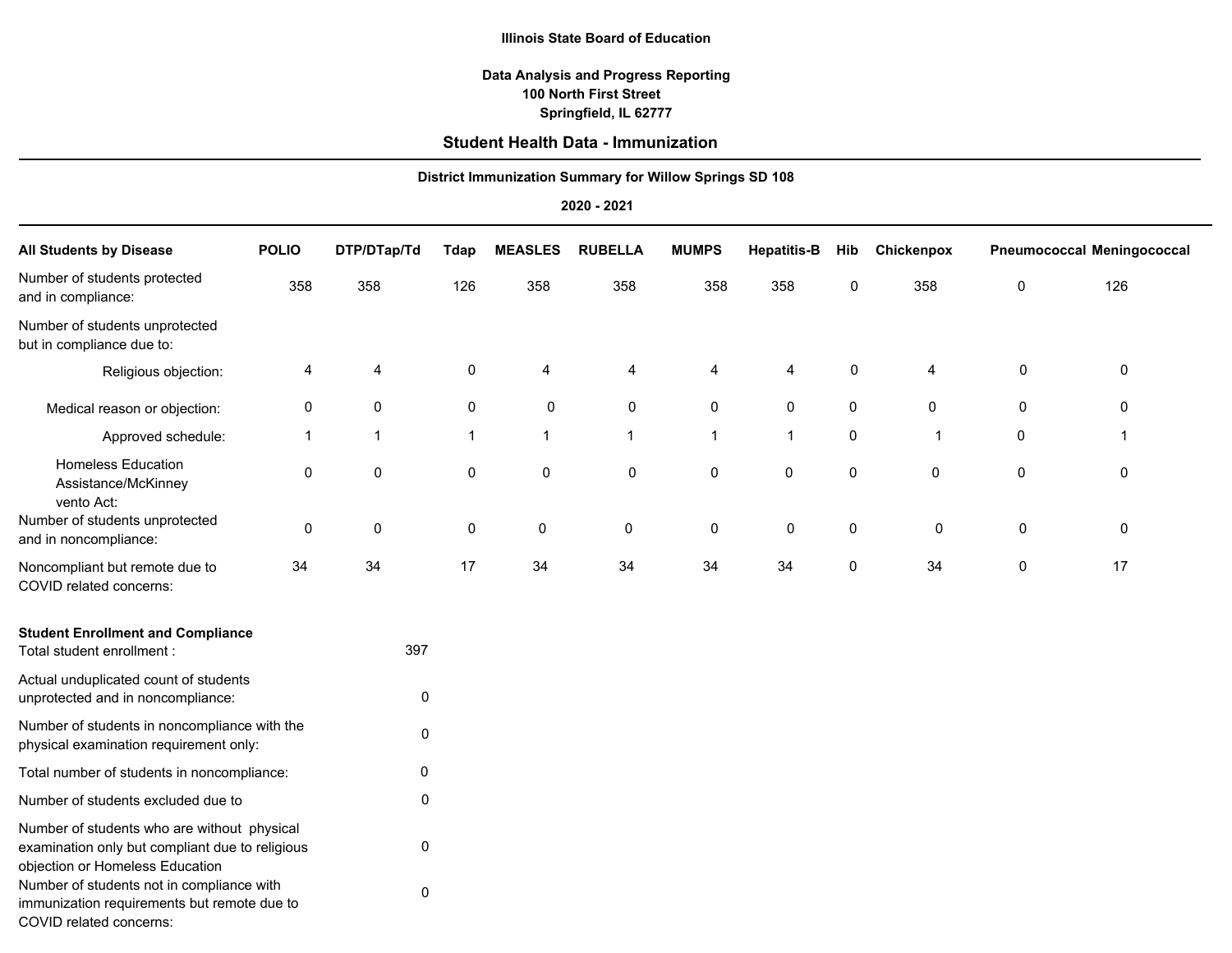#### **Illinois State Board of Education**

### **Springfield, IL 62777 100 North First Street Data Analysis and Progress Reporting**

# **Student Health Data - Immunization**

| Student Health Data - Infiniti Ization<br><b>District Immunization Summary for Willow Springs SD 108</b> |              |              |              |                |                |              |                    |             |              |   |                                   |
|----------------------------------------------------------------------------------------------------------|--------------|--------------|--------------|----------------|----------------|--------------|--------------------|-------------|--------------|---|-----------------------------------|
|                                                                                                          |              |              |              |                |                |              |                    |             |              |   |                                   |
| 2020 - 2021                                                                                              |              |              |              |                |                |              |                    |             |              |   |                                   |
| <b>All Students by Disease</b>                                                                           | <b>POLIO</b> | DTP/DTap/Td  | <b>Tdap</b>  | <b>MEASLES</b> | <b>RUBELLA</b> | <b>MUMPS</b> | <b>Hepatitis-B</b> | Hib         | Chickenpox   |   | <b>Pneumococcal Meningococcal</b> |
| Number of students protected<br>and in compliance:                                                       | 358          | 358          | 126          | 358            | 358            | 358          | 358                | 0           | 358          | 0 | 126                               |
| Number of students unprotected<br>but in compliance due to:                                              |              |              |              |                |                |              |                    |             |              |   |                                   |
| Religious objection:                                                                                     | 4            | 4            | 0            | 4              | 4              | 4            | 4                  | 0           | 4            | 0 | $\mathbf 0$                       |
| Medical reason or objection:                                                                             | 0            | 0            | 0            | 0              | 0              | 0            | 0                  | $\mathbf 0$ | 0            | 0 | 0                                 |
| Approved schedule:                                                                                       | 1            | $\mathbf{1}$ | $\mathbf{1}$ | $\mathbf{1}$   | $\mathbf{1}$   | $\mathbf{1}$ | $\mathbf{1}$       | 0           | $\mathbf{1}$ | 0 | 1                                 |
| <b>Homeless Education</b><br>Assistance/McKinney<br>vento Act:                                           | $\mathbf 0$  | 0            | 0            | $\mathbf 0$    | 0              | 0            | $\pmb{0}$          | 0           | 0            | 0 | $\mathbf 0$                       |
| Number of students unprotected<br>and in noncompliance:                                                  | $\mathbf 0$  | 0            | 0            | $\mathsf 0$    | 0              | $\pmb{0}$    | $\mathsf{O}$       | 0           | $\mathbf 0$  | 0 | $\mathbf 0$                       |
| Noncompliant but remote due to<br>COVID related concerns:                                                | 34           | 34           | 17           | 34             | 34             | 34           | 34                 | $\mathbf 0$ | 34           | 0 | 17                                |
| <b>Student Enrollment and Compliance</b><br>Total student enrollment :                                   |              | 397          |              |                |                |              |                    |             |              |   |                                   |
| Actual unduplicated count of students<br>unprotected and in noncompliance:                               |              | 0            |              |                |                |              |                    |             |              |   |                                   |
| Number of students in noncompliance with the                                                             |              | 0            |              |                |                |              |                    |             |              |   |                                   |

 

Total number of students in noncompliance: Number of students excluded due to Number of students who are without physical examination only but compliant due to religious objection or Homeless Education Number of students not in compliance with

physical examination requirement only:

immunization requirements but remote due to

COVID related concerns: